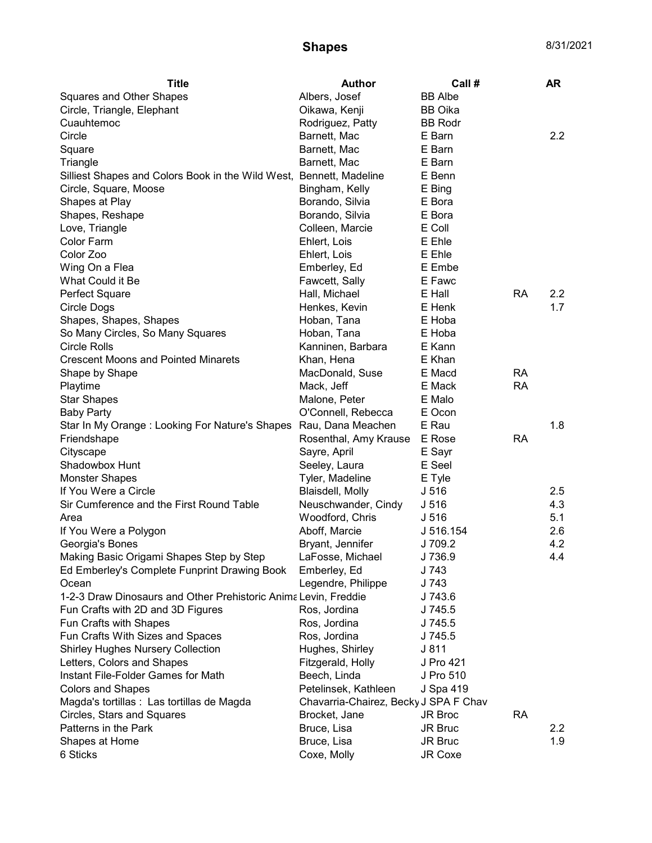## **Shapes** 8/31/2021

| <b>Title</b>                                                        | <b>Author</b>                         | Call #           |           | AR               |
|---------------------------------------------------------------------|---------------------------------------|------------------|-----------|------------------|
| <b>Squares and Other Shapes</b>                                     | Albers, Josef                         | <b>BB</b> Albe   |           |                  |
| Circle, Triangle, Elephant                                          | Oikawa, Kenji                         | <b>BB</b> Oika   |           |                  |
| Cuauhtemoc                                                          | Rodriguez, Patty                      | <b>BB Rodr</b>   |           |                  |
| Circle                                                              | Barnett, Mac                          | E Barn           |           | $2.2\phantom{0}$ |
| Square                                                              | Barnett, Mac                          | E Barn           |           |                  |
| Triangle                                                            | Barnett, Mac                          | E Barn           |           |                  |
| Silliest Shapes and Colors Book in the Wild West, Bennett, Madeline |                                       | E Benn           |           |                  |
| Circle, Square, Moose                                               | Bingham, Kelly                        | E Bing           |           |                  |
| Shapes at Play                                                      | Borando, Silvia                       | E Bora           |           |                  |
| Shapes, Reshape                                                     | Borando, Silvia                       | E Bora           |           |                  |
| Love, Triangle                                                      | Colleen, Marcie                       | E Coll           |           |                  |
| Color Farm                                                          | Ehlert, Lois                          | E Ehle           |           |                  |
| Color Zoo                                                           | Ehlert, Lois                          | E Ehle           |           |                  |
| Wing On a Flea                                                      | Emberley, Ed                          | E Embe           |           |                  |
| What Could it Be                                                    | Fawcett, Sally                        | E Fawc           |           |                  |
| Perfect Square                                                      | Hall, Michael                         | E Hall           | <b>RA</b> | $2.2\phantom{0}$ |
| Circle Dogs                                                         | Henkes, Kevin                         | E Henk           |           | 1.7              |
| Shapes, Shapes, Shapes                                              | Hoban, Tana                           | E Hoba           |           |                  |
| So Many Circles, So Many Squares                                    | Hoban, Tana                           | E Hoba           |           |                  |
| Circle Rolls                                                        | Kanninen, Barbara                     | E Kann           |           |                  |
| <b>Crescent Moons and Pointed Minarets</b>                          | Khan, Hena                            | E Khan           |           |                  |
| Shape by Shape                                                      | MacDonald, Suse                       | E Macd           | <b>RA</b> |                  |
| Playtime                                                            | Mack, Jeff                            | E Mack           | <b>RA</b> |                  |
| <b>Star Shapes</b>                                                  | Malone, Peter                         | E Malo           |           |                  |
| <b>Baby Party</b>                                                   | O'Connell, Rebecca                    | E Ocon           |           |                  |
| Star In My Orange: Looking For Nature's Shapes Rau, Dana Meachen    |                                       | E Rau            |           | 1.8              |
| Friendshape                                                         | Rosenthal, Amy Krause                 | E Rose           | <b>RA</b> |                  |
| Cityscape                                                           | Sayre, April                          | E Sayr           |           |                  |
| Shadowbox Hunt                                                      | Seeley, Laura                         | E Seel           |           |                  |
| <b>Monster Shapes</b>                                               | Tyler, Madeline                       | E Tyle           |           |                  |
| If You Were a Circle                                                | Blaisdell, Molly                      | J <sub>516</sub> |           | 2.5              |
| Sir Cumference and the First Round Table                            | Neuschwander, Cindy                   | J 516            |           | 4.3              |
| Area                                                                |                                       |                  |           | 5.1              |
|                                                                     | Woodford, Chris                       | J <sub>516</sub> |           | 2.6              |
| If You Were a Polygon                                               | Aboff, Marcie                         | J 516.154        |           |                  |
| Georgia's Bones                                                     | Bryant, Jennifer                      | J 709.2          |           | 4.2              |
| Making Basic Origami Shapes Step by Step                            | LaFosse, Michael                      | J 736.9          |           | 4.4              |
| Ed Emberley's Complete Funprint Drawing Book                        | Emberley, Ed                          | J 743            |           |                  |
| Ocean                                                               | Legendre, Philippe                    | J 743            |           |                  |
| 1-2-3 Draw Dinosaurs and Other Prehistoric Anima Levin, Freddie     |                                       | J 743.6          |           |                  |
| Fun Crafts with 2D and 3D Figures                                   | Ros, Jordina                          | J 745.5          |           |                  |
| Fun Crafts with Shapes                                              | Ros, Jordina                          | J 745.5          |           |                  |
| Fun Crafts With Sizes and Spaces                                    | Ros, Jordina                          | J 745.5          |           |                  |
| <b>Shirley Hughes Nursery Collection</b>                            | Hughes, Shirley                       | J 811            |           |                  |
| Letters, Colors and Shapes                                          | Fitzgerald, Holly                     | J Pro 421        |           |                  |
| Instant File-Folder Games for Math                                  | Beech, Linda                          | J Pro 510        |           |                  |
| <b>Colors and Shapes</b>                                            | Petelinsek, Kathleen                  | J Spa 419        |           |                  |
| Magda's tortillas : Las tortillas de Magda                          | Chavarria-Chairez, Becky J SPA F Chav |                  |           |                  |
| Circles, Stars and Squares                                          | Brocket, Jane                         | JR Broc          | <b>RA</b> |                  |
| Patterns in the Park                                                | Bruce, Lisa                           | JR Bruc          |           | $2.2\,$          |
| Shapes at Home                                                      | Bruce, Lisa                           | JR Bruc          |           | 1.9              |
| 6 Sticks                                                            | Coxe, Molly                           | JR Coxe          |           |                  |